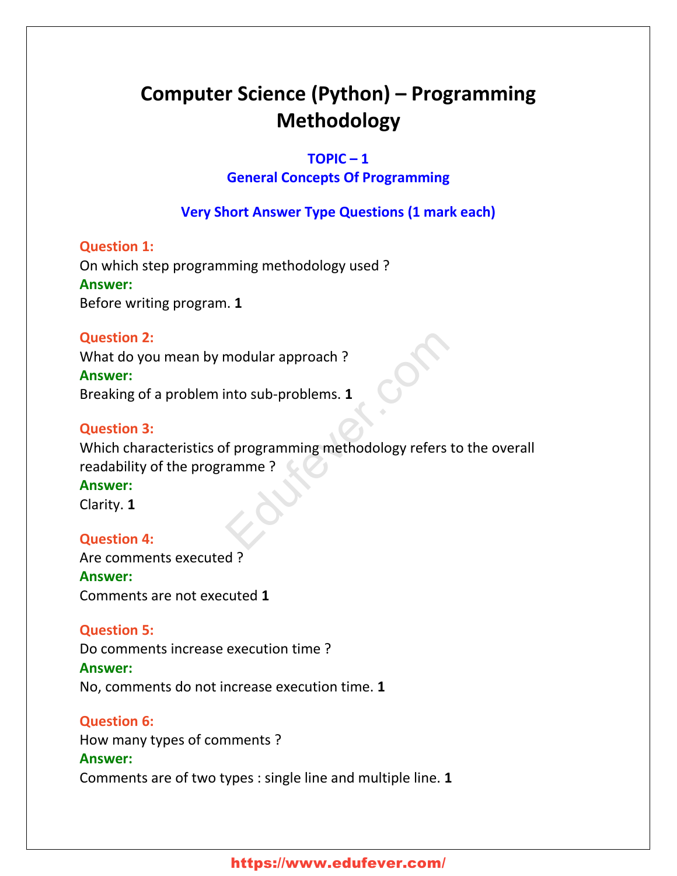# **Computer Science (Python) – Programming Methodology**

#### **TOPIC – 1**

### **General Concepts Of Programming**

# **Very Short Answer Type Questions (1 mark each)**

### **Question 1:**

On which step programming methodology used ? **Answer:** Before writing program. **1**

### **Question 2:**

What do you mean by modular approach ? **Answer:** Breaking of a problem into sub-problems. **1**

### **Question 3:**

Which characteristics of programming methodology refers to the overall readability of the programme ? modular approach ?<br>
into sub-problems. 1<br>
of programming methodology refers to<br>
amme ?

#### **Answer:**

Clarity. **1**

### **Question 4:**

Are comments executed ? **Answer:** Comments are not executed **1**

### **Question 5:**

Do comments increase execution time ?

#### **Answer:**

No, comments do not increase execution time. **1**

### **Question 6:**

How many types of comments ? **Answer:** Comments are of two types : single line and multiple line. **1**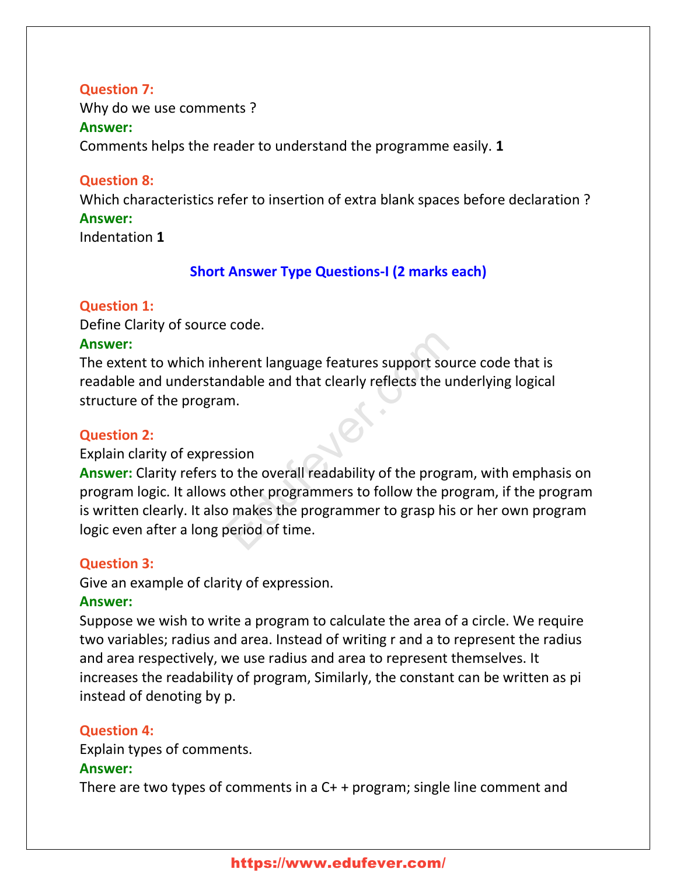### **Question 7:**

Why do we use comments ? **Answer:**

Comments helps the reader to understand the programme easily. **1**

### **Question 8:**

Which characteristics refer to insertion of extra blank spaces before declaration ?

### **Answer:**

Indentation **1**

# **Short Answer Type Questions-I (2 marks each)**

### **Question 1:**

Define Clarity of source code.

### **Answer:**

The extent to which inherent language features support source code that is readable and understandable and that clearly reflects the underlying logical structure of the program.

### **Question 2:**

### Explain clarity of expression

**Answer:** Clarity refers to the overall readability of the program, with emphasis on program logic. It allows other programmers to follow the program, if the program is written clearly. It also makes the programmer to grasp his or her own program logic even after a long period of time. Edufever.com

### **Question 3:**

Give an example of clarity of expression.

### **Answer:**

Suppose we wish to write a program to calculate the area of a circle. We require two variables; radius and area. Instead of writing r and a to represent the radius and area respectively, we use radius and area to represent themselves. It increases the readability of program, Similarly, the constant can be written as pi instead of denoting by p.

### **Question 4:**

Explain types of comments.

### **Answer:**

There are two types of comments in a C+ + program; single line comment and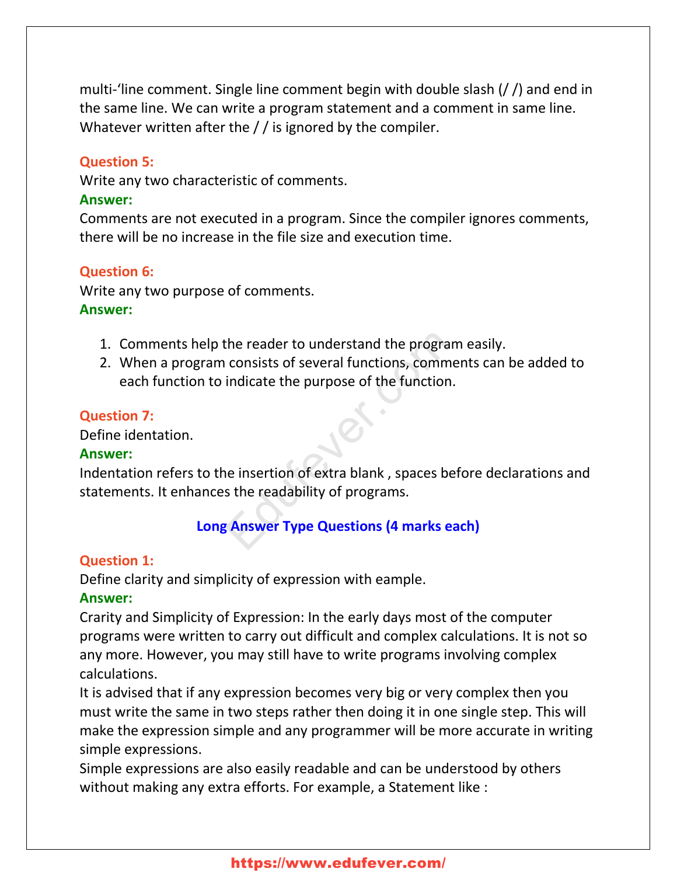multi-'line comment. Single line comment begin with double slash (/ /) and end in the same line. We can write a program statement and a comment in same line. Whatever written after the / / is ignored by the compiler.

#### **Question 5:**

Write any two characteristic of comments.

#### **Answer:**

Comments are not executed in a program. Since the compiler ignores comments, there will be no increase in the file size and execution time.

#### **Question 6:**

Write any two purpose of comments. **Answer:**

- 1. Comments help the reader to understand the program easily.
- 2. When a program consists of several functions, comments can be added to each function to indicate the purpose of the function. the reader to understand the program<br>
consists of several functions, commer<br>
indicate the purpose of the function.<br>
ie insertion of extra blank, spaces befores<br>
ie the readability of programs.<br>
Sections (4 marks eads)

#### **Question 7:**

Define identation.

#### **Answer:**

Indentation refers to the insertion of extra blank , spaces before declarations and statements. It enhances the readability of programs.

### **Long Answer Type Questions (4 marks each)**

#### **Question 1:**

Define clarity and simplicity of expression with eample.

#### **Answer:**

Crarity and Simplicity of Expression: In the early days most of the computer programs were written to carry out difficult and complex calculations. It is not so any more. However, you may still have to write programs involving complex calculations.

It is advised that if any expression becomes very big or very complex then you must write the same in two steps rather then doing it in one single step. This will make the expression simple and any programmer will be more accurate in writing simple expressions.

Simple expressions are also easily readable and can be understood by others without making any extra efforts. For example, a Statement like :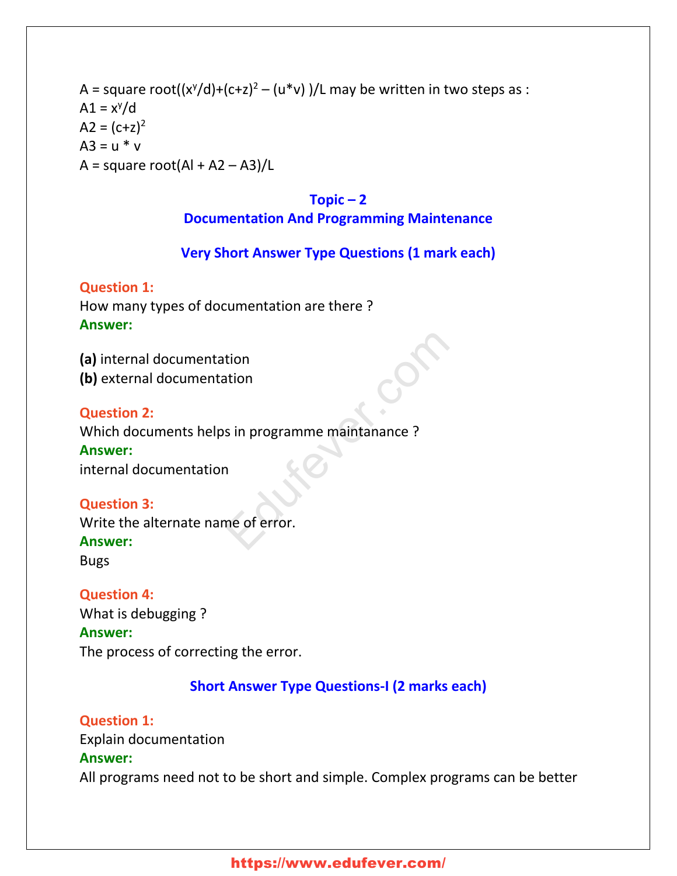# A = square root((x<sup>y</sup>/d)+(c+z)<sup>2</sup> – (u\*v) )/L may be written in two steps as :  $A1 = x^y/d$  $A2 = (c+z)^2$  $A3 = u * v$  $A = square root(AI + A2 - A3)/L$

### **Topic – 2**

### **Documentation And Programming Maintenance**

### **Very Short Answer Type Questions (1 mark each)**

### **Question 1:**

How many types of documentation are there ? **Answer:**

**(a)** internal documentation **(b)** external documentation

### **Question 2:**

Which documents helps in programme maintanance ? **Answer:** tion<br>s in programme maintanance ?<br>a<br>me of error.

internal documentation

### **Question 3:**

Write the alternate name of error. **Answer:**

Bugs

### **Question 4:**

What is debugging ? **Answer:** The process of correcting the error.

# **Short Answer Type Questions-I (2 marks each)**

**Question 1:** Explain documentation **Answer:** All programs need not to be short and simple. Complex programs can be better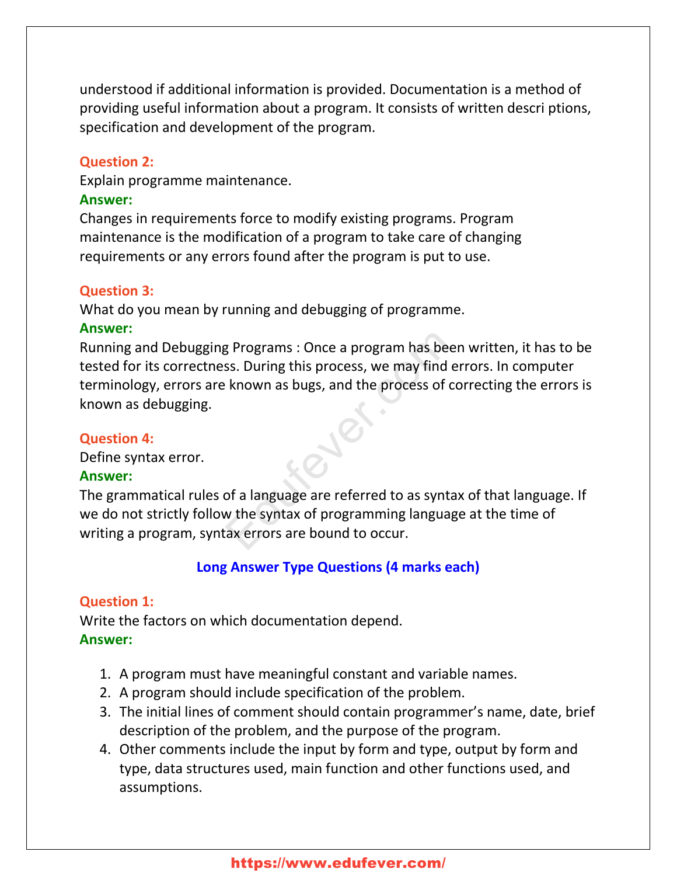understood if additional information is provided. Documentation is a method of providing useful information about a program. It consists of written descri ptions, specification and development of the program.

#### **Question 2:**

Explain programme maintenance.

#### **Answer:**

Changes in requirements force to modify existing programs. Program maintenance is the modification of a program to take care of changing requirements or any errors found after the program is put to use.

#### **Question 3:**

What do you mean by running and debugging of programme.

#### **Answer:**

Running and Debugging Programs : Once a program has been written, it has to be tested for its correctness. During this process, we may find errors. In computer terminology, errors are known as bugs, and the process of correcting the errors is known as debugging. Express of the appropram has been<br>
SS. During this process, we may find er<br>
Express of contracts of contracts of contracts of contracts<br>
of a language are referred to as syntax<br>
w the syntax of programming language<br>
Sax er

#### **Question 4:**

Define syntax error.

#### **Answer:**

The grammatical rules of a language are referred to as syntax of that language. If we do not strictly follow the syntax of programming language at the time of writing a program, syntax errors are bound to occur.

#### **Long Answer Type Questions (4 marks each)**

#### **Question 1:**

Write the factors on which documentation depend. **Answer:**

- 1. A program must have meaningful constant and variable names.
- 2. A program should include specification of the problem.
- 3. The initial lines of comment should contain programmer's name, date, brief description of the problem, and the purpose of the program.
- 4. Other comments include the input by form and type, output by form and type, data structures used, main function and other functions used, and assumptions.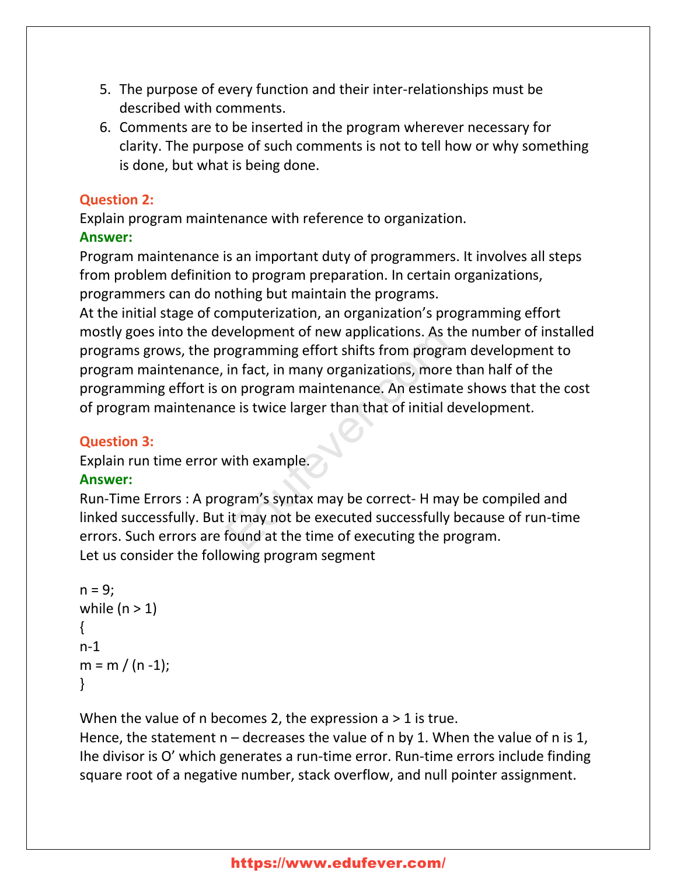- 5. The purpose of every function and their inter-relationships must be described with comments.
- 6. Comments are to be inserted in the program wherever necessary for clarity. The purpose of such comments is not to tell how or why something is done, but what is being done.

# **Question 2:**

Explain program maintenance with reference to organization.

# **Answer:**

Program maintenance is an important duty of programmers. It involves all steps from problem definition to program preparation. In certain organizations, programmers can do nothing but maintain the programs.

At the initial stage of computerization, an organization's programming effort mostly goes into the development of new applications. As the number of installed programs grows, the programming effort shifts from program development to program maintenance, in fact, in many organizations, more than half of the programming effort is on program maintenance. An estimate shows that the cost of program maintenance is twice larger than that of initial development. Experience of new applications. As the<br>
rogramming effort shifts from program<br>
in fact, in many organizations, more the<br>
por program maintenance. An estimate<br>
ce is twice larger than that of initial dev<br>
with example.<br>
Sup

# **Question 3:**

Explain run time error with example.

# **Answer:**

Run-Time Errors : A program's syntax may be correct- H may be compiled and linked successfully. But it may not be executed successfully because of run-time errors. Such errors are found at the time of executing the program. Let us consider the following program segment

```
n = 9;while (n > 1){
n-1
m = m / (n - 1);
}
```
When the value of n becomes 2, the expression  $a > 1$  is true.

Hence, the statement  $n -$  decreases the value of n by 1. When the value of n is 1, Ihe divisor is O' which generates a run-time error. Run-time errors include finding square root of a negative number, stack overflow, and null pointer assignment.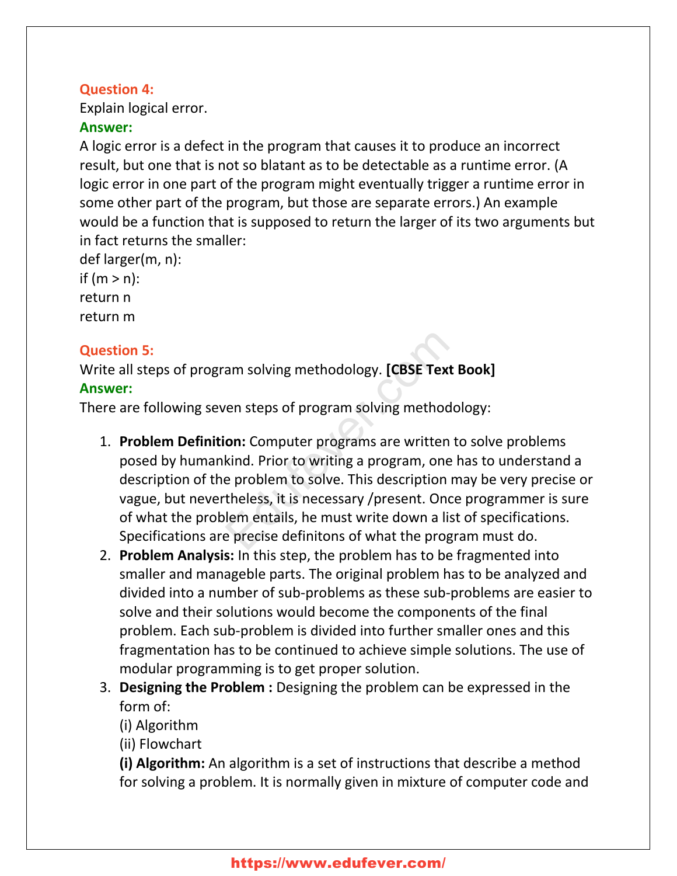### **Question 4:**

Explain logical error.

### **Answer:**

A logic error is a defect in the program that causes it to produce an incorrect result, but one that is not so blatant as to be detectable as a runtime error. (A logic error in one part of the program might eventually trigger a runtime error in some other part of the program, but those are separate errors.) An example would be a function that is supposed to return the larger of its two arguments but in fact returns the smaller:

def larger(m, n): if  $(m > n)$ : return n return m

# **Question 5:**

Write all steps of program solving methodology. **[CBSE Text Book] Answer:**

There are following seven steps of program solving methodology:

- 1. **Problem Definition:** Computer programs are written to solve problems posed by humankind. Prior to writing a program, one has to understand a description of the problem to solve. This description may be very precise or vague, but nevertheless, it is necessary /present. Once programmer is sure of what the problem entails, he must write down a list of specifications. Specifications are precise definitons of what the program must do. am solving methodology. **[CBSE Text B**<br>ren steps of program solving methodol<br>**on:** Computer programs are written to<br>kind. Prior to writing a program, one h<br>e problem to solve. This description ma<br>theless, it is necessary /
- 2. **Problem Analysis:** In this step, the problem has to be fragmented into smaller and manageble parts. The original problem has to be analyzed and divided into a number of sub-problems as these sub-problems are easier to solve and their solutions would become the components of the final problem. Each sub-problem is divided into further smaller ones and this fragmentation has to be continued to achieve simple solutions. The use of modular programming is to get proper solution.
- 3. **Designing the Problem :** Designing the problem can be expressed in the form of:

(i) Algorithm

(ii) Flowchart

**(i) Algorithm:** An algorithm is a set of instructions that describe a method for solving a problem. It is normally given in mixture of computer code and